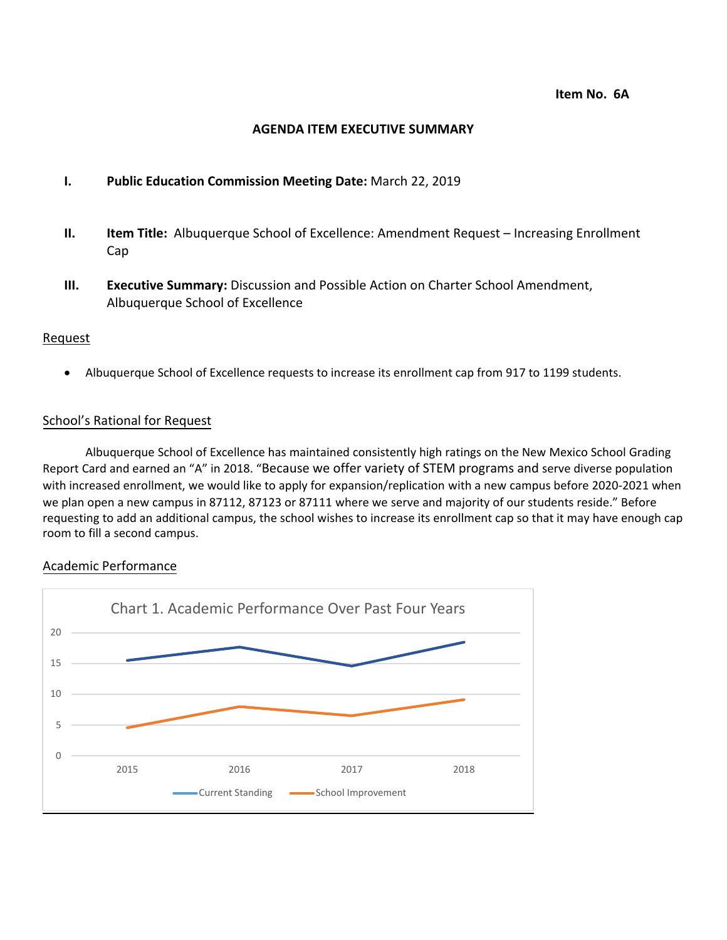#### **AGENDA ITEM EXECUTIVE SUMMARY**

#### **I. Public Education Commission Meeting Date:** March 22, 2019

- **II. Item Title:** Albuquerque School of Excellence: Amendment Request Increasing Enrollment Cap
- **III. Executive Summary:** Discussion and Possible Action on Charter School Amendment, Albuquerque School of Excellence

#### Request

• Albuquerque School of Excellence requests to increase its enrollment cap from 917 to 1199 students.

#### School's Rational for Request

Albuquerque School of Excellence has maintained consistently high ratings on the New Mexico School Grading Report Card and earned an "A" in 2018. "Because we offer variety of STEM programs and serve diverse population with increased enrollment, we would like to apply for expansion/replication with a new campus before 2020-2021 when we plan open a new campus in 87112, 87123 or 87111 where we serve and majority of our students reside." Before requesting to add an additional campus, the school wishes to increase its enrollment cap so that it may have enough cap room to fill a second campus.

#### Academic Performance

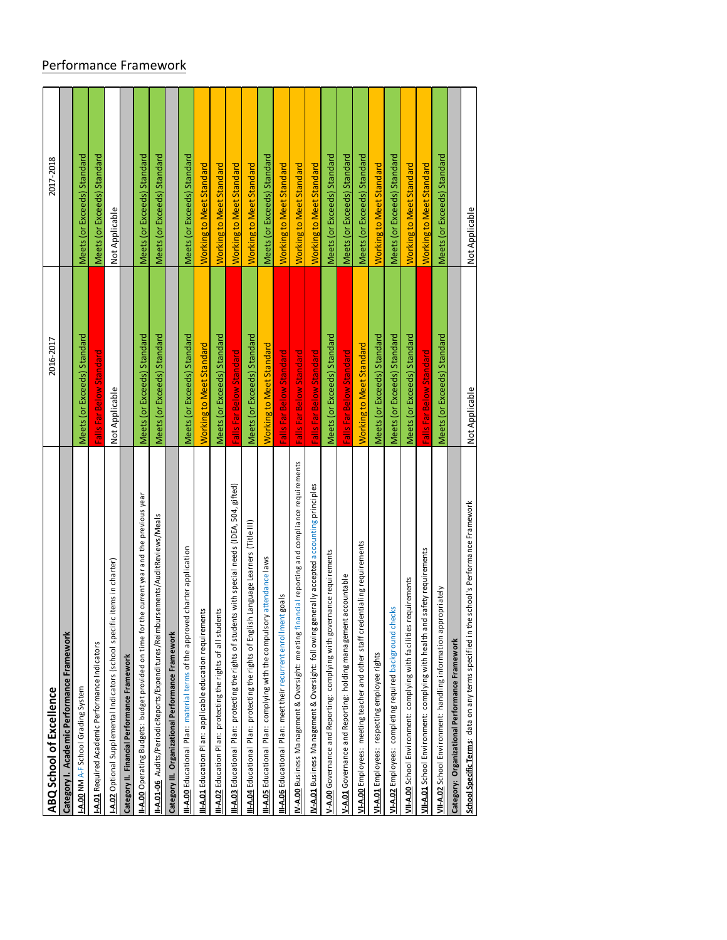# Performance Framework

| ABQ School of Excellence                                                                           | 2016-2017                   | 2017-2018                       |
|----------------------------------------------------------------------------------------------------|-----------------------------|---------------------------------|
| Category I. Academic Performance Framework                                                         |                             |                                 |
| I-A.00 NM A-F School Grading System                                                                | Meets (or Exceeds) Standard | Meets (or Exceeds) Standard     |
| -A.01 Required Academic Performance Indicators                                                     | Falls Far Below Standard    | Meets (or Exceeds) Standard     |
| -A.02 Optional Supplemental Indicators (school specific items in charter)                          | Not Applicable              | Not Applicable                  |
| Category II. Financial Performance Framework                                                       |                             |                                 |
| II-A.00 Operating Budgets: budget provided on time for the current year and the previous year      | Meets (or Exceeds) Standard | Meets (or Exceeds) Standard     |
| rs ements/AuditReviews/Meals<br>I-A.01-06 Audits/PeriodicReports/Expenditures/Reimbur              | Meets (or Exceeds) Standard | Meets (or Exceeds) Standard     |
| Category III. Organizational Performance Framework                                                 |                             |                                 |
| charter application<br>II-A.00 Educational Plan: material terms of the approved                    | Meets (or Exceeds) Standard | Meets (or Exceeds) Standard     |
| II-A.01 Education Plan: applicable education requirements                                          | Working to Meet Standard    | <b>Working to Meet Standard</b> |
| II-A.02 Education Plan: protecting the rights of all students                                      | Meets (or Exceeds) Standard | Working to Meet Standard        |
| II-A.03 Educational Plan: protecting the rights of students with special needs (IDEA, 504, gifted) | Falls Far Below Standard    | Working to Meet Standard        |
| Language Learners (Title III)<br>II-A.04 Educational Plan: protecting the rights of English        | Meets (or Exceeds) Standard | Working to Meet Standard        |
| II-A.05 Educational Plan: complying with the compulsory attendance laws                            | Working to Meet Standard    | Meets (or Exceeds) Standard     |
| II-A.06 Educational Plan: meet their recurrent enrollment goals                                    | Falls Far Below Standard    | Working to Meet Standard        |
| IV-A.00 Business Management & Oversight: meeting financial reporting and compliance requirements   | Falls Far Below Standard    | <b>Working to Meet Standard</b> |
| W-A.01 Business Management & Oversight: following generally accepted accounting principles         | Falls Far Below Standard    | Working to Meet Standard        |
| V-A.00 Governance and Reporting: complying with governance requirements                            | Meets (or Exceeds) Standard | Meets (or Exceeds) Standard     |
| V-A.01 Governance and Reporting: holding management accountable                                    | Falls Far Below Standard    | Meets (or Exceeds) Standard     |
| entialing requirements<br>VI-A.00 Employees: meeting teacher and other staff crede                 | Working to Meet Standard    | Meets (or Exceeds) Standard     |
| VI-A.01 Employees: respecting employee rights                                                      | Meets (or Exceeds) Standard | <b>Working to Meet Standard</b> |
| VI-A.02 Employees: completing required background checks                                           | Meets (or Exceeds) Standard | Meets (or Exceeds) Standard     |
| VII-A.00 School Environment: complying with facilities requirements                                | Meets (or Exceeds) Standard | Working to Meet Standard        |
| VII-A.01 School Environment: complying with health and safety requirements                         | Falls Far Below Standard    | <b>Working to Meet Standard</b> |
| VII-A.02 School Environment: handling information appropriately                                    | Meets (or Exceeds) Standard | Meets (or Exceeds) Standard     |
| Category: Organizational Performance Framework                                                     |                             |                                 |
| school's Performance Framework<br>School Specific Terms: data on any terms specified in the        | Not Applicable              | Not Applicable                  |